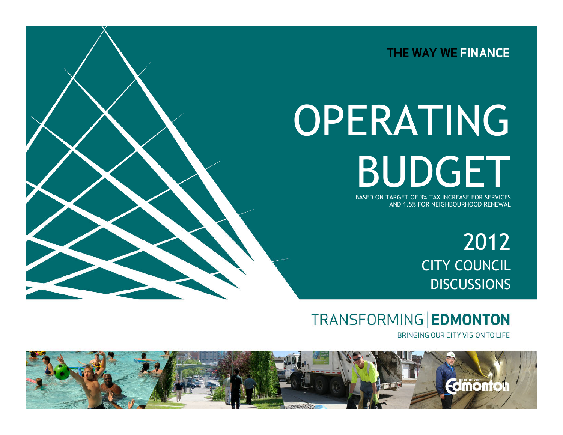

# OPERATING BUDGET

BASED ON TARGET OF 3% TAX INCREASE FOR SERVICES AND 1.5% FOR NEIGHBOURHOOD RENEWAL

> 2012 CITY COUNCIL **DISCUSSIONS**

TRANSFORMING EDMONTON

BRINGING OUR CITY VISION TO LIFE

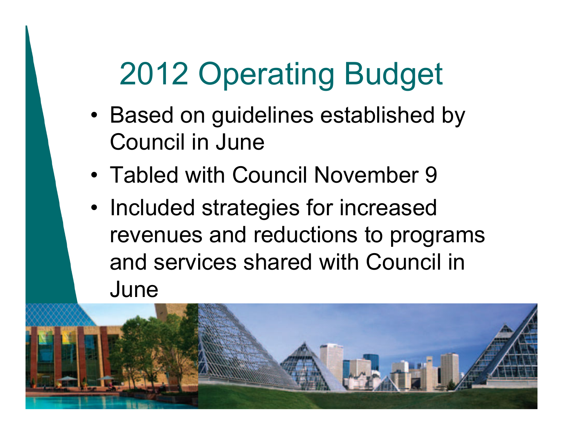- Based on guidelines established by Council in June
- Tabled with Council November 9
- Included strategies for increased revenues and reductions to programs and services shared with Council in June

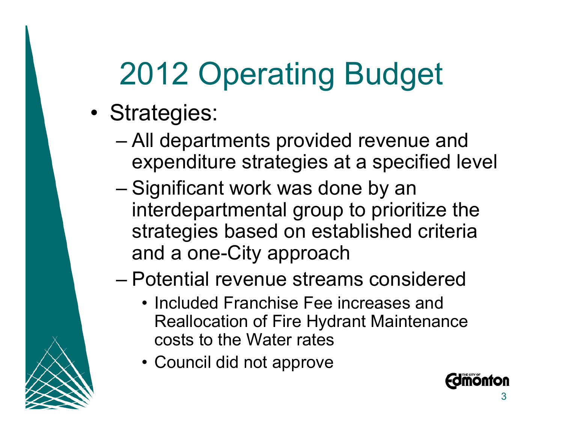- Strategies:
	- All departments provided revenue and expenditure strategies at a specified level
	- Significant work was done by an interdepartmental group to prioritize the strategies based on established criteria and a one-City approach

#### – Potential revenue streams considered

- Included Franchise Fee increases and Reallocation of Fire Hydrant Maintenance costs to the Water rates
- Council did not approve

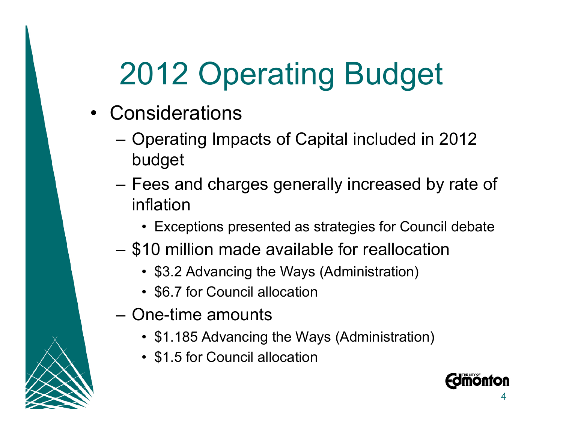- Considerations
	- Operating Impacts of Capital included in 2012 budget
	- Fees and charges generally increased by rate of inflation
		- Exceptions presented as strategies for Council debate
	- \$10 million made available for reallocation
		- \$3.2 Advancing the Ways (Administration)
		- \$6.7 for Council allocation
	- One-time amounts
		- \$1.185 Advancing the Ways (Administration)
		- \$1.5 for Council allocation

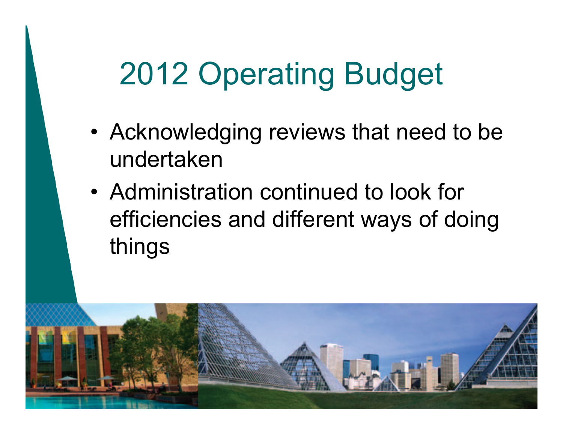- Acknowledging reviews that need to be undertaken
- Administration continued to look for efficiencies and different ways of doing things

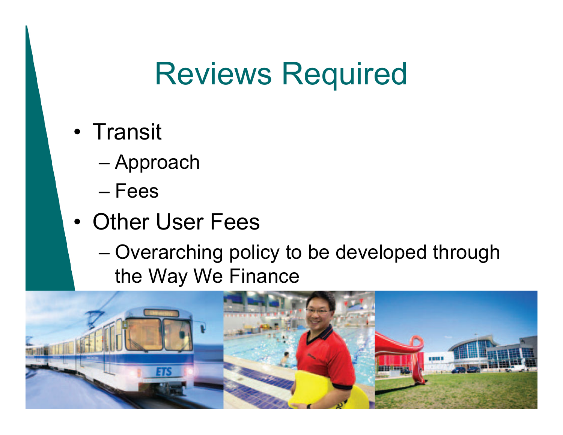#### Reviews Required

- Transit
	- Approach
	- Fees
- Other User Fees
	- Overarching policy to be developed through the Way We Finance